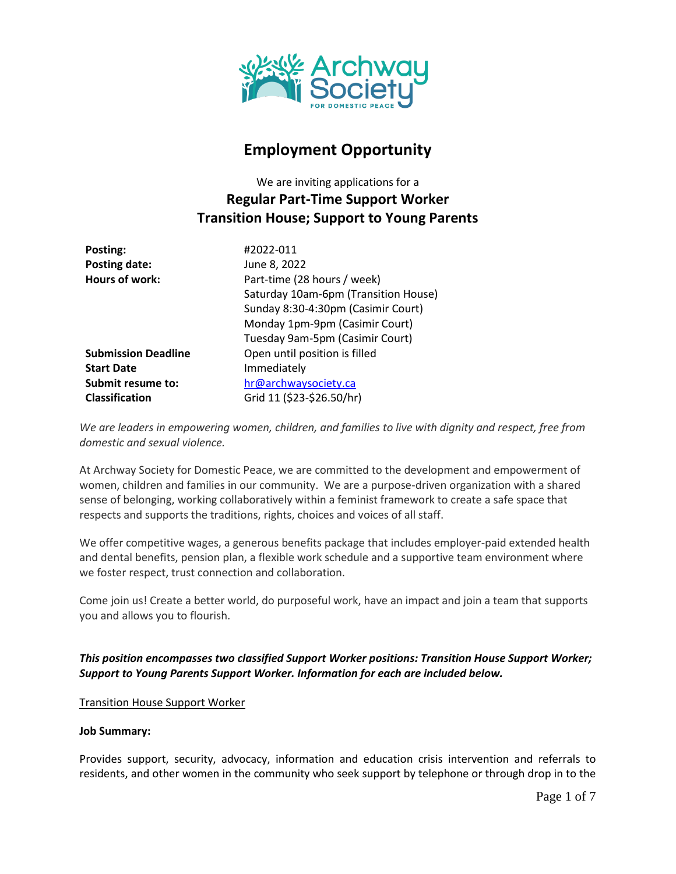

# **Employment Opportunity**

We are inviting applications for a **Regular Part-Time Support Worker Transition House; Support to Young Parents**

| Posting:                   | #2022-011                            |
|----------------------------|--------------------------------------|
| <b>Posting date:</b>       | June 8, 2022                         |
| <b>Hours of work:</b>      | Part-time (28 hours / week)          |
|                            | Saturday 10am-6pm (Transition House) |
|                            | Sunday 8:30-4:30pm (Casimir Court)   |
|                            | Monday 1pm-9pm (Casimir Court)       |
|                            | Tuesday 9am-5pm (Casimir Court)      |
| <b>Submission Deadline</b> | Open until position is filled        |
| <b>Start Date</b>          | Immediately                          |
| Submit resume to:          | hr@archwaysociety.ca                 |
| <b>Classification</b>      | Grid 11 (\$23-\$26.50/hr)            |

*We are leaders in empowering women, children, and families to live with dignity and respect, free from domestic and sexual violence.*

At Archway Society for Domestic Peace, we are committed to the development and empowerment of women, children and families in our community. We are a purpose-driven organization with a shared sense of belonging, working collaboratively within a feminist framework to create a safe space that respects and supports the traditions, rights, choices and voices of all staff.

We offer competitive wages, a generous benefits package that includes employer-paid extended health and dental benefits, pension plan, a flexible work schedule and a supportive team environment where we foster respect, trust connection and collaboration.

Come join us! Create a better world, do purposeful work, have an impact and join a team that supports you and allows you to flourish.

*This position encompasses two classified Support Worker positions: Transition House Support Worker; Support to Young Parents Support Worker. Information for each are included below.*

Transition House Support Worker

#### **Job Summary:**

Provides support, security, advocacy, information and education crisis intervention and referrals to residents, and other women in the community who seek support by telephone or through drop in to the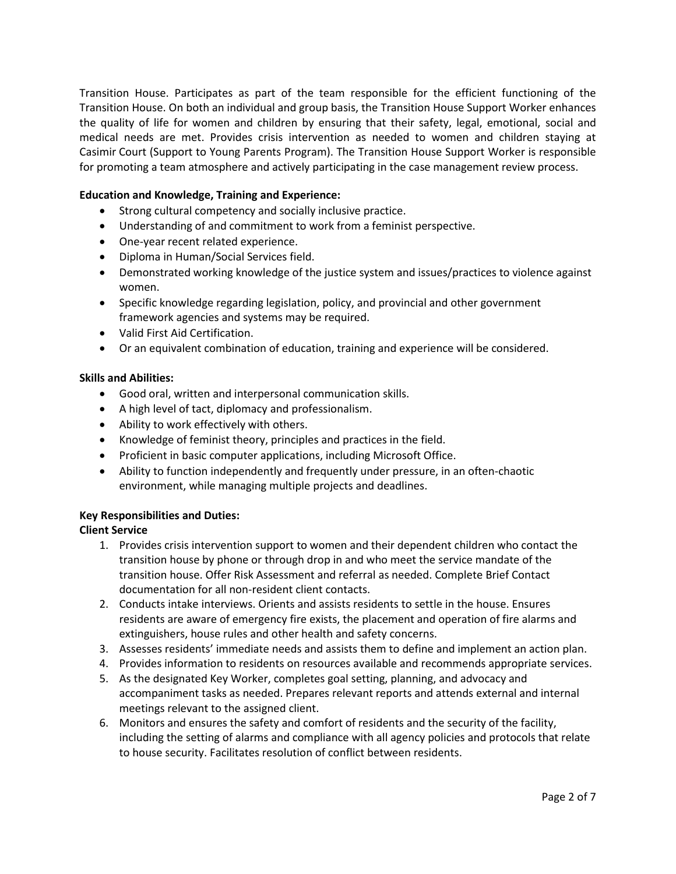Transition House. Participates as part of the team responsible for the efficient functioning of the Transition House. On both an individual and group basis, the Transition House Support Worker enhances the quality of life for women and children by ensuring that their safety, legal, emotional, social and medical needs are met. Provides crisis intervention as needed to women and children staying at Casimir Court (Support to Young Parents Program). The Transition House Support Worker is responsible for promoting a team atmosphere and actively participating in the case management review process.

## **Education and Knowledge, Training and Experience:**

- Strong cultural competency and socially inclusive practice.
- Understanding of and commitment to work from a feminist perspective.
- One-year recent related experience.
- Diploma in Human/Social Services field.
- Demonstrated working knowledge of the justice system and issues/practices to violence against women.
- Specific knowledge regarding legislation, policy, and provincial and other government framework agencies and systems may be required.
- Valid First Aid Certification.
- Or an equivalent combination of education, training and experience will be considered.

## **Skills and Abilities:**

- Good oral, written and interpersonal communication skills.
- A high level of tact, diplomacy and professionalism.
- Ability to work effectively with others.
- Knowledge of feminist theory, principles and practices in the field.
- Proficient in basic computer applications, including Microsoft Office.
- Ability to function independently and frequently under pressure, in an often-chaotic environment, while managing multiple projects and deadlines.

## **Key Responsibilities and Duties:**

## **Client Service**

- 1. Provides crisis intervention support to women and their dependent children who contact the transition house by phone or through drop in and who meet the service mandate of the transition house. Offer Risk Assessment and referral as needed. Complete Brief Contact documentation for all non-resident client contacts.
- 2. Conducts intake interviews. Orients and assists residents to settle in the house. Ensures residents are aware of emergency fire exists, the placement and operation of fire alarms and extinguishers, house rules and other health and safety concerns.
- 3. Assesses residents' immediate needs and assists them to define and implement an action plan.
- 4. Provides information to residents on resources available and recommends appropriate services.
- 5. As the designated Key Worker, completes goal setting, planning, and advocacy and accompaniment tasks as needed. Prepares relevant reports and attends external and internal meetings relevant to the assigned client.
- 6. Monitors and ensures the safety and comfort of residents and the security of the facility, including the setting of alarms and compliance with all agency policies and protocols that relate to house security. Facilitates resolution of conflict between residents.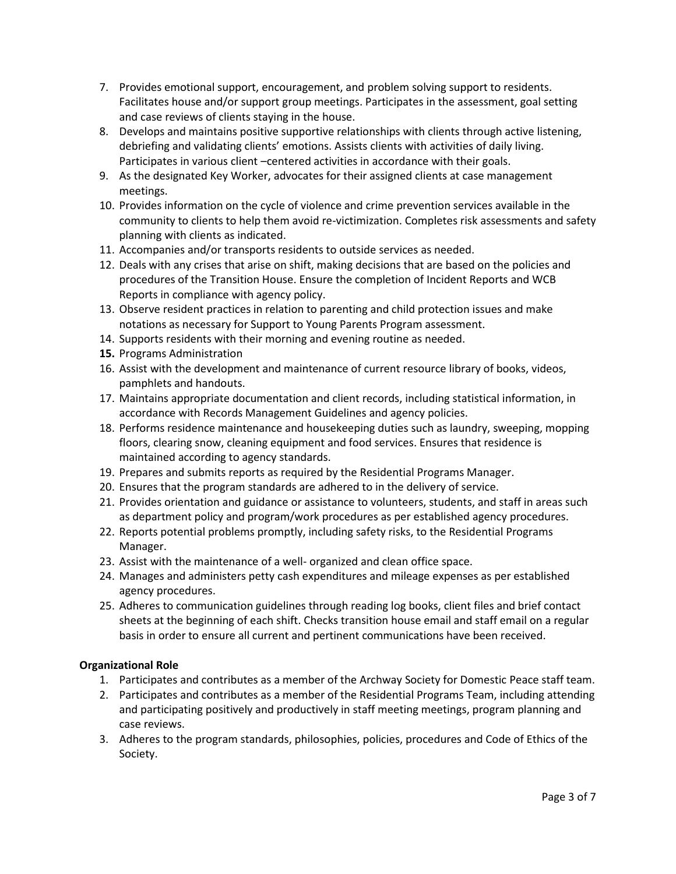- 7. Provides emotional support, encouragement, and problem solving support to residents. Facilitates house and/or support group meetings. Participates in the assessment, goal setting and case reviews of clients staying in the house.
- 8. Develops and maintains positive supportive relationships with clients through active listening, debriefing and validating clients' emotions. Assists clients with activities of daily living. Participates in various client –centered activities in accordance with their goals.
- 9. As the designated Key Worker, advocates for their assigned clients at case management meetings.
- 10. Provides information on the cycle of violence and crime prevention services available in the community to clients to help them avoid re-victimization. Completes risk assessments and safety planning with clients as indicated.
- 11. Accompanies and/or transports residents to outside services as needed.
- 12. Deals with any crises that arise on shift, making decisions that are based on the policies and procedures of the Transition House. Ensure the completion of Incident Reports and WCB Reports in compliance with agency policy.
- 13. Observe resident practices in relation to parenting and child protection issues and make notations as necessary for Support to Young Parents Program assessment.
- 14. Supports residents with their morning and evening routine as needed.
- **15.** Programs Administration
- 16. Assist with the development and maintenance of current resource library of books, videos, pamphlets and handouts.
- 17. Maintains appropriate documentation and client records, including statistical information, in accordance with Records Management Guidelines and agency policies.
- 18. Performs residence maintenance and housekeeping duties such as laundry, sweeping, mopping floors, clearing snow, cleaning equipment and food services. Ensures that residence is maintained according to agency standards.
- 19. Prepares and submits reports as required by the Residential Programs Manager.
- 20. Ensures that the program standards are adhered to in the delivery of service.
- 21. Provides orientation and guidance or assistance to volunteers, students, and staff in areas such as department policy and program/work procedures as per established agency procedures.
- 22. Reports potential problems promptly, including safety risks, to the Residential Programs Manager.
- 23. Assist with the maintenance of a well- organized and clean office space.
- 24. Manages and administers petty cash expenditures and mileage expenses as per established agency procedures.
- 25. Adheres to communication guidelines through reading log books, client files and brief contact sheets at the beginning of each shift. Checks transition house email and staff email on a regular basis in order to ensure all current and pertinent communications have been received.

# **Organizational Role**

- 1. Participates and contributes as a member of the Archway Society for Domestic Peace staff team.
- 2. Participates and contributes as a member of the Residential Programs Team, including attending and participating positively and productively in staff meeting meetings, program planning and case reviews.
- 3. Adheres to the program standards, philosophies, policies, procedures and Code of Ethics of the Society.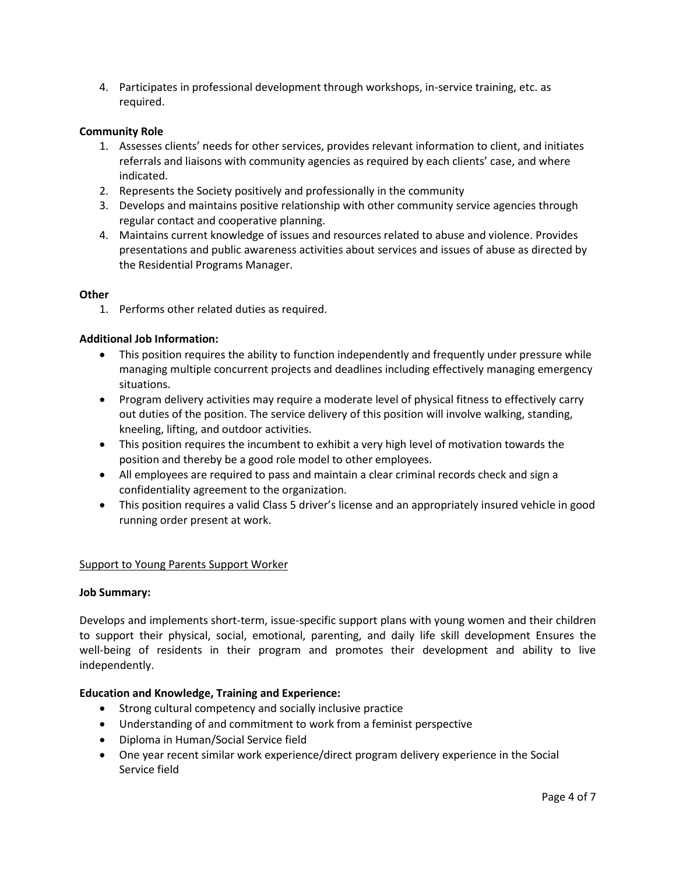4. Participates in professional development through workshops, in-service training, etc. as required.

#### **Community Role**

- 1. Assesses clients' needs for other services, provides relevant information to client, and initiates referrals and liaisons with community agencies as required by each clients' case, and where indicated.
- 2. Represents the Society positively and professionally in the community
- 3. Develops and maintains positive relationship with other community service agencies through regular contact and cooperative planning.
- 4. Maintains current knowledge of issues and resources related to abuse and violence. Provides presentations and public awareness activities about services and issues of abuse as directed by the Residential Programs Manager.

#### **Other**

1. Performs other related duties as required.

#### **Additional Job Information:**

- This position requires the ability to function independently and frequently under pressure while managing multiple concurrent projects and deadlines including effectively managing emergency situations.
- Program delivery activities may require a moderate level of physical fitness to effectively carry out duties of the position. The service delivery of this position will involve walking, standing, kneeling, lifting, and outdoor activities.
- This position requires the incumbent to exhibit a very high level of motivation towards the position and thereby be a good role model to other employees.
- All employees are required to pass and maintain a clear criminal records check and sign a confidentiality agreement to the organization.
- This position requires a valid Class 5 driver's license and an appropriately insured vehicle in good running order present at work.

#### Support to Young Parents Support Worker

#### **Job Summary:**

Develops and implements short-term, issue-specific support plans with young women and their children to support their physical, social, emotional, parenting, and daily life skill development Ensures the well-being of residents in their program and promotes their development and ability to live independently.

## **Education and Knowledge, Training and Experience:**

- Strong cultural competency and socially inclusive practice
- Understanding of and commitment to work from a feminist perspective
- Diploma in Human/Social Service field
- One year recent similar work experience/direct program delivery experience in the Social Service field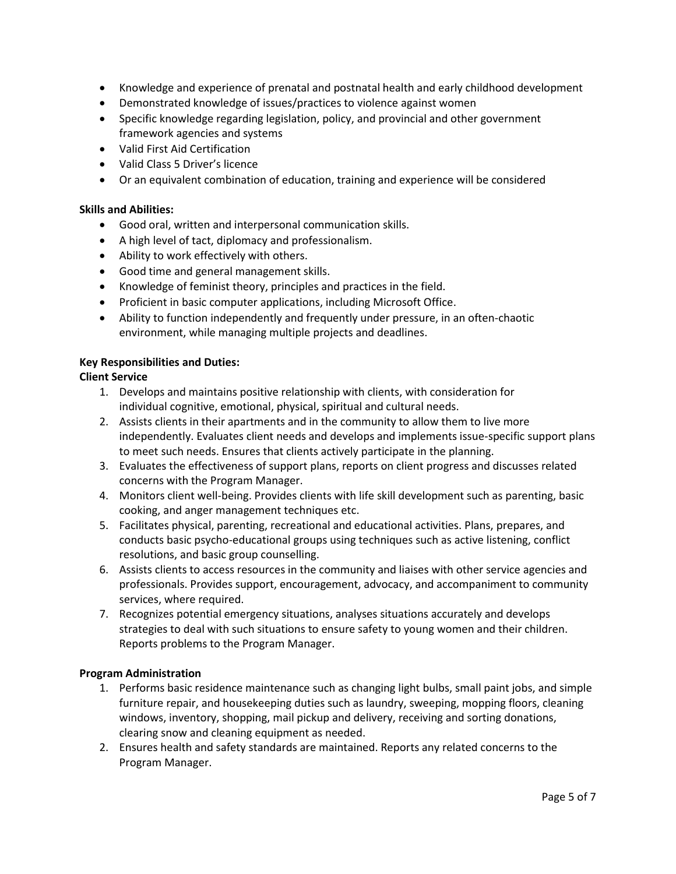- Knowledge and experience of prenatal and postnatal health and early childhood development
- Demonstrated knowledge of issues/practices to violence against women
- Specific knowledge regarding legislation, policy, and provincial and other government framework agencies and systems
- Valid First Aid Certification
- Valid Class 5 Driver's licence
- Or an equivalent combination of education, training and experience will be considered

#### **Skills and Abilities:**

- Good oral, written and interpersonal communication skills.
- A high level of tact, diplomacy and professionalism.
- Ability to work effectively with others.
- Good time and general management skills.
- Knowledge of feminist theory, principles and practices in the field.
- Proficient in basic computer applications, including Microsoft Office.
- Ability to function independently and frequently under pressure, in an often-chaotic environment, while managing multiple projects and deadlines.

#### **Key Responsibilities and Duties:**

## **Client Service**

- 1. Develops and maintains positive relationship with clients, with consideration for individual cognitive, emotional, physical, spiritual and cultural needs.
- 2. Assists clients in their apartments and in the community to allow them to live more independently. Evaluates client needs and develops and implements issue-specific support plans to meet such needs. Ensures that clients actively participate in the planning.
- 3. Evaluates the effectiveness of support plans, reports on client progress and discusses related concerns with the Program Manager.
- 4. Monitors client well-being. Provides clients with life skill development such as parenting, basic cooking, and anger management techniques etc.
- 5. Facilitates physical, parenting, recreational and educational activities. Plans, prepares, and conducts basic psycho-educational groups using techniques such as active listening, conflict resolutions, and basic group counselling.
- 6. Assists clients to access resources in the community and liaises with other service agencies and professionals. Provides support, encouragement, advocacy, and accompaniment to community services, where required.
- 7. Recognizes potential emergency situations, analyses situations accurately and develops strategies to deal with such situations to ensure safety to young women and their children. Reports problems to the Program Manager.

## **Program Administration**

- 1. Performs basic residence maintenance such as changing light bulbs, small paint jobs, and simple furniture repair, and housekeeping duties such as laundry, sweeping, mopping floors, cleaning windows, inventory, shopping, mail pickup and delivery, receiving and sorting donations, clearing snow and cleaning equipment as needed.
- 2. Ensures health and safety standards are maintained. Reports any related concerns to the Program Manager.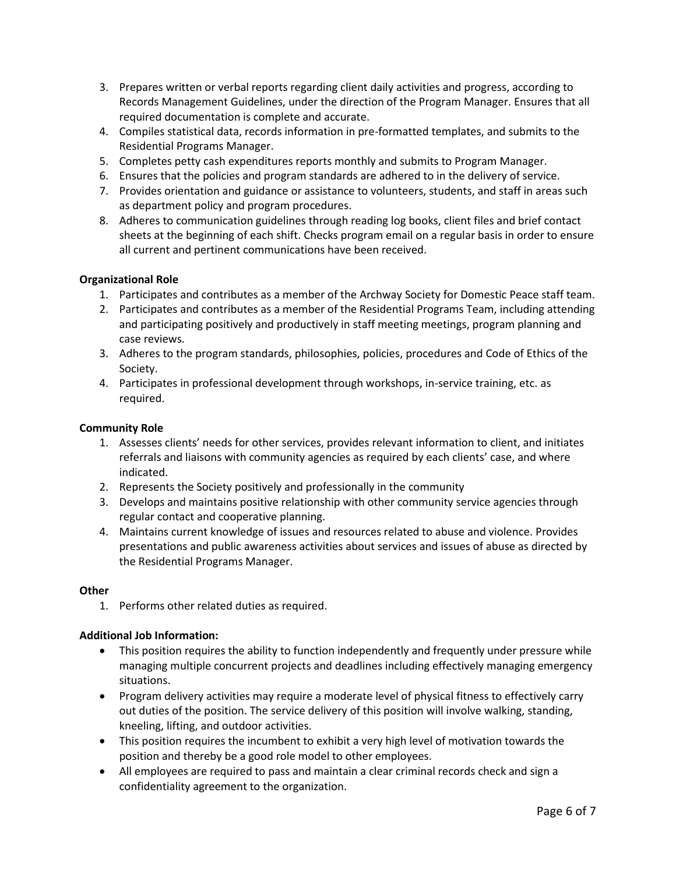- 3. Prepares written or verbal reports regarding client daily activities and progress, according to Records Management Guidelines, under the direction of the Program Manager. Ensures that all required documentation is complete and accurate.
- 4. Compiles statistical data, records information in pre-formatted templates, and submits to the Residential Programs Manager.
- 5. Completes petty cash expenditures reports monthly and submits to Program Manager.
- 6. Ensures that the policies and program standards are adhered to in the delivery of service.
- 7. Provides orientation and guidance or assistance to volunteers, students, and staff in areas such as department policy and program procedures.
- 8. Adheres to communication guidelines through reading log books, client files and brief contact sheets at the beginning of each shift. Checks program email on a regular basis in order to ensure all current and pertinent communications have been received.

## **Organizational Role**

- 1. Participates and contributes as a member of the Archway Society for Domestic Peace staff team.
- 2. Participates and contributes as a member of the Residential Programs Team, including attending and participating positively and productively in staff meeting meetings, program planning and case reviews.
- 3. Adheres to the program standards, philosophies, policies, procedures and Code of Ethics of the Society.
- 4. Participates in professional development through workshops, in-service training, etc. as required.

## **Community Role**

- 1. Assesses clients' needs for other services, provides relevant information to client, and initiates referrals and liaisons with community agencies as required by each clients' case, and where indicated.
- 2. Represents the Society positively and professionally in the community
- 3. Develops and maintains positive relationship with other community service agencies through regular contact and cooperative planning.
- 4. Maintains current knowledge of issues and resources related to abuse and violence. Provides presentations and public awareness activities about services and issues of abuse as directed by the Residential Programs Manager.

## **Other**

1. Performs other related duties as required.

# **Additional Job Information:**

- This position requires the ability to function independently and frequently under pressure while managing multiple concurrent projects and deadlines including effectively managing emergency situations.
- Program delivery activities may require a moderate level of physical fitness to effectively carry out duties of the position. The service delivery of this position will involve walking, standing, kneeling, lifting, and outdoor activities.
- This position requires the incumbent to exhibit a very high level of motivation towards the position and thereby be a good role model to other employees.
- All employees are required to pass and maintain a clear criminal records check and sign a confidentiality agreement to the organization.